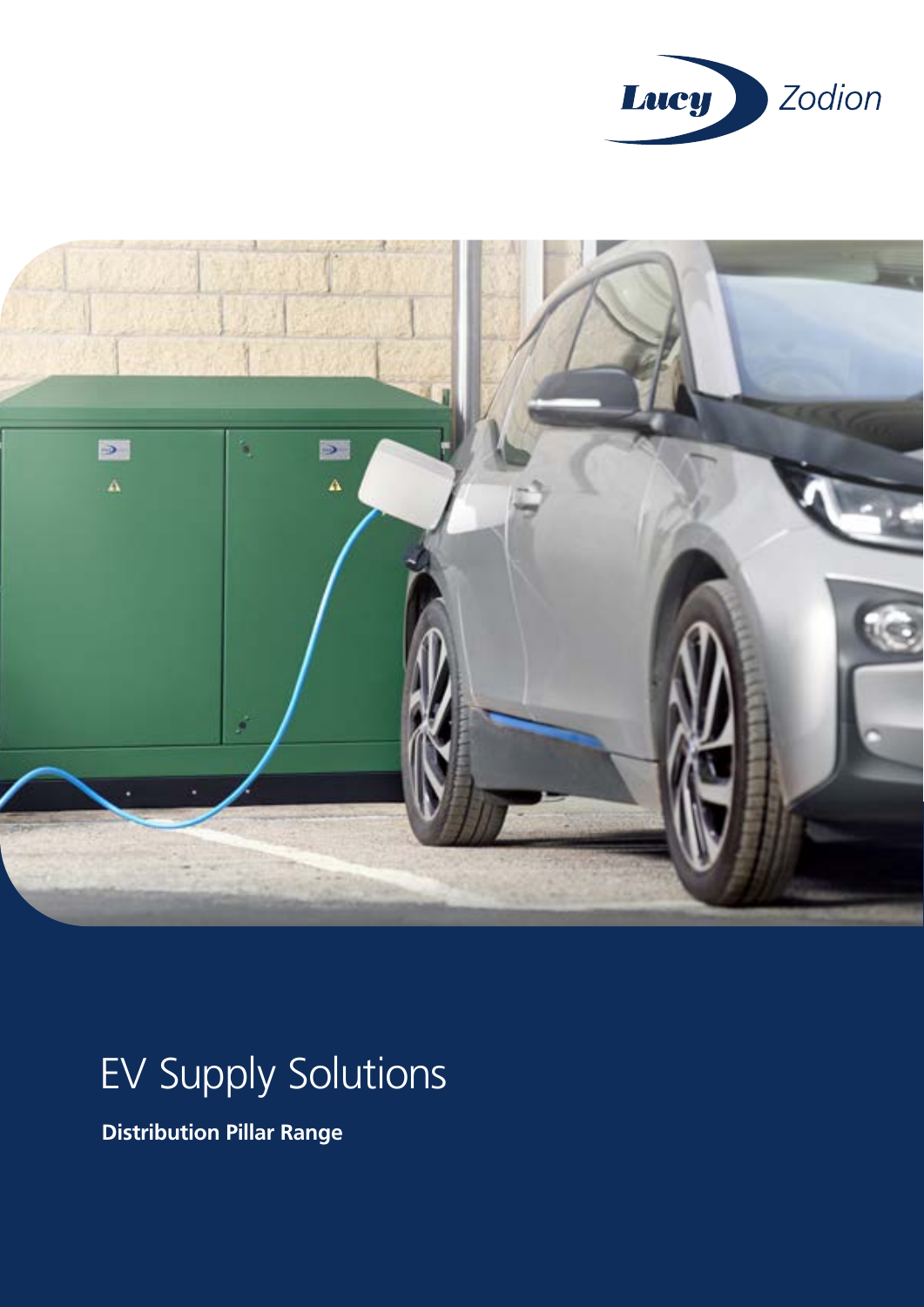



# EV Supply Solutions

**Distribution Pillar Range**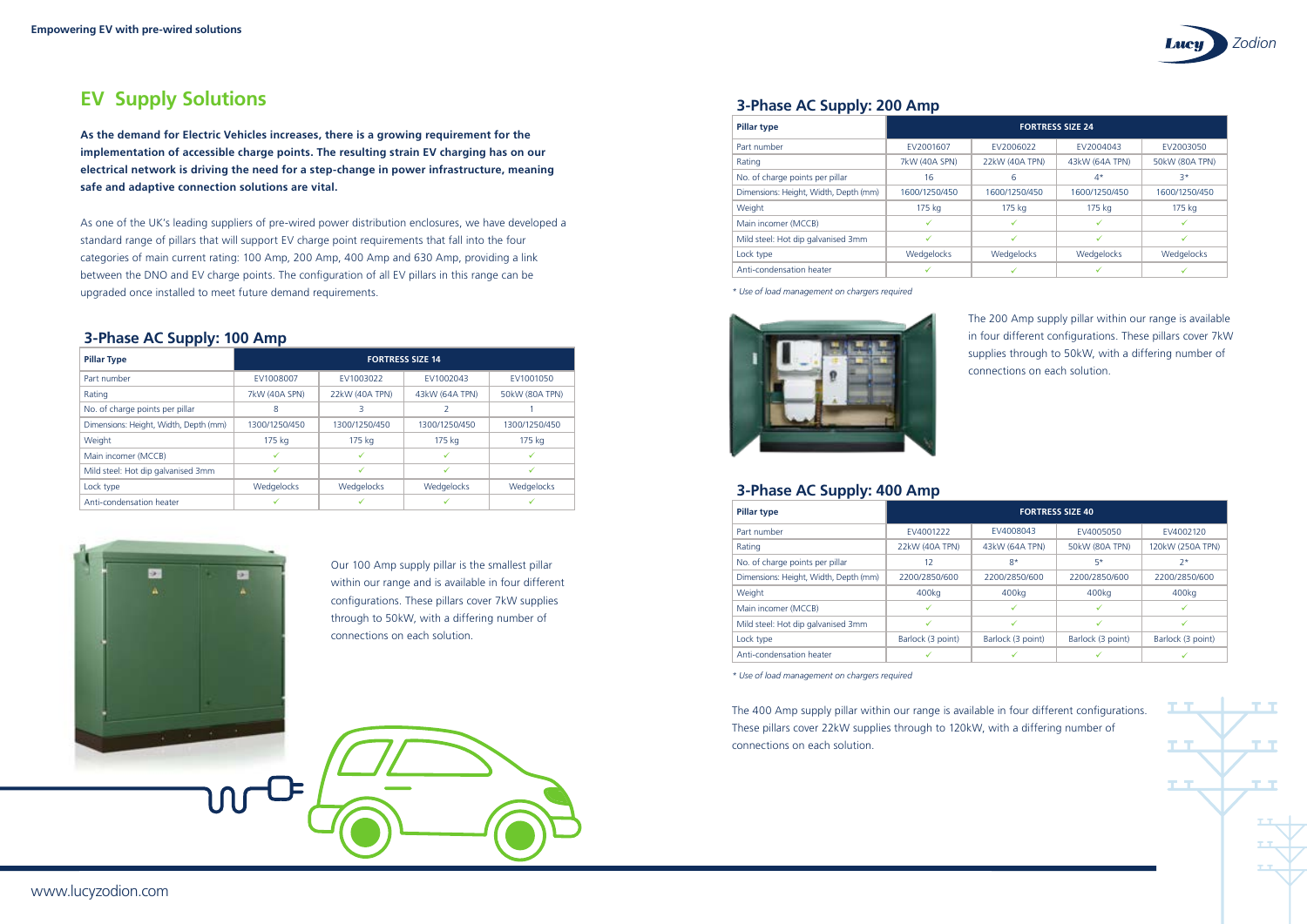Our 100 Amp supply pillar is the smallest pillar within our range and is available in four different configurations. These pillars cover 7kW supplies through to 50kW, with a differing number of connections on each solution.



The 400 Amp supply pillar within our range is available in four different configurations. These pillars cover 22kW supplies through to 120kW, with a differing number of connections on each solution.

*\* Use of load management on chargers required*



*\* Use of load management on chargers required*

# **EV Supply Solutions**

**As the demand for Electric Vehicles increases, there is a growing requirement for the implementation of accessible charge points. The resulting strain EV charging has on our electrical network is driving the need for a step-change in power infrastructure, meaning safe and adaptive connection solutions are vital.**

As one of the UK's leading suppliers of pre-wired power distribution enclosures, we have developed a standard range of pillars that will support EV charge point requirements that fall into the four categories of main current rating: 100 Amp, 200 Amp, 400 Amp and 630 Amp, providing a link between the DNO and EV charge points. The configuration of all EV pillars in this range can be upgraded once installed to meet future demand requirements.





#### **3-Phase AC Supply: 100 Amp**

| <b>Pillar Type</b>                    | <b>FORTRESS SIZE 14</b> |                |                |                |
|---------------------------------------|-------------------------|----------------|----------------|----------------|
| Part number                           | EV1008007               | EV1003022      | EV1002043      | EV1001050      |
| Rating                                | 7kW (40A SPN)           | 22kW (40A TPN) | 43kW (64A TPN) | 50kW (80A TPN) |
| No. of charge points per pillar       | 8                       |                |                |                |
| Dimensions: Height, Width, Depth (mm) | 1300/1250/450           | 1300/1250/450  | 1300/1250/450  | 1300/1250/450  |
| Weight                                | 175 kg                  | 175 kg         | 175 kg         | 175 kg         |
| Main incomer (MCCB)                   |                         |                |                |                |
| Mild steel: Hot dip galvanised 3mm    |                         | ✓              |                |                |
| Lock type                             | Wedgelocks              | Wedgelocks     | Wedgelocks     | Wedgelocks     |
| Anti-condensation heater              |                         |                |                |                |



## **3-Phase AC Supply: 200 Amp**

## **3-Phase AC Supply: 400 Amp**

| <b>Pillar type</b>                    | <b>FORTRESS SIZE 24</b> |                |                |                |
|---------------------------------------|-------------------------|----------------|----------------|----------------|
| Part number                           | EV2001607               | EV2006022      | EV2004043      | EV2003050      |
| Rating                                | 7kW (40A SPN)           | 22kW (40A TPN) | 43kW (64A TPN) | 50kW (80A TPN) |
| No. of charge points per pillar       | 16                      | 6              | $4^*$          | $3*$           |
| Dimensions: Height, Width, Depth (mm) | 1600/1250/450           | 1600/1250/450  | 1600/1250/450  | 1600/1250/450  |
| Weight                                | 175 kg                  | 175 kg         | 175 kg         | 175 kg         |
| Main incomer (MCCB)                   |                         |                |                | $\checkmark$   |
| Mild steel: Hot dip galvanised 3mm    |                         | $\checkmark$   |                | $\checkmark$   |
| Lock type                             | Wedgelocks              | Wedgelocks     | Wedgelocks     | Wedgelocks     |
| Anti-condensation heater              |                         |                |                |                |

| <b>Pillar type</b>                    | <b>FORTRESS SIZE 40</b> |                   |                   |                   |
|---------------------------------------|-------------------------|-------------------|-------------------|-------------------|
| Part number                           | EV4001222               | EV4008043         | EV4005050         | EV4002120         |
| Rating                                | 22kW (40A TPN)          | 43kW (64A TPN)    | 50kW (80A TPN)    | 120kW (250A TPN)  |
| No. of charge points per pillar       | 12                      | $8*$              | $5*$              | $2*$              |
| Dimensions: Height, Width, Depth (mm) | 2200/2850/600           | 2200/2850/600     | 2200/2850/600     | 2200/2850/600     |
| Weight                                | 400kg                   | 400 <sub>kg</sub> | 400kg             | 400kg             |
| Main incomer (MCCB)                   |                         |                   |                   |                   |
| Mild steel: Hot dip galvanised 3mm    | ✓                       | ✓                 | ✓                 | ✓                 |
| Lock type                             | Barlock (3 point)       | Barlock (3 point) | Barlock (3 point) | Barlock (3 point) |
| Anti-condensation heater              |                         |                   |                   |                   |

The 200 Amp supply pillar within our range is available in four different configurations. These pillars cover 7kW supplies through to 50kW, with a differing number of connections on each solution.